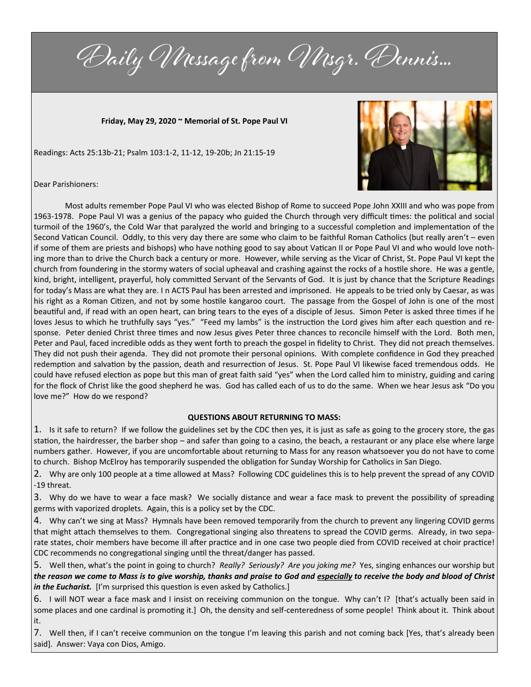Daily Message from Misgr. Dennis...

**Friday, May 29, 2020 ~ Memorial of St. Pope Paul VI**

Readings: Acts 25:13b-21; Psalm 103:1-2, 11-12, 19-20b; Jn 21:15-19



Dear Parishioners:

Most adults remember Pope Paul VI who was elected Bishop of Rome to succeed Pope John XXIII and who was pope from 1963-1978. Pope Paul VI was a genius of the papacy who guided the Church through very difficult times: the political and social turmoil of the 1960's, the Cold War that paralyzed the world and bringing to a successful completion and implementation of the Second Vatican Council. Oddly, to this very day there are some who claim to be faithful Roman Catholics (but really aren't – even if some of them are priests and bishops) who have nothing good to say about Vatican II or Pope Paul VI and who would love nothing more than to drive the Church back a century or more. However, while serving as the Vicar of Christ, St. Pope Paul VI kept the church from foundering in the stormy waters of social upheaval and crashing against the rocks of a hostile shore. He was a gentle, kind, bright, intelligent, prayerful, holy committed Servant of the Servants of God. It is just by chance that the Scripture Readings for today's Mass are what they are. I n ACTS Paul has been arrested and imprisoned. He appeals to be tried only by Caesar, as was his right as a Roman Citizen, and not by some hostile kangaroo court. The passage from the Gospel of John is one of the most beautiful and, if read with an open heart, can bring tears to the eyes of a disciple of Jesus. Simon Peter is asked three times if he loves Jesus to which he truthfully says "yes." "Feed my lambs" is the instruction the Lord gives him after each question and response. Peter denied Christ three times and now Jesus gives Peter three chances to reconcile himself with the Lord. Both men, Peter and Paul, faced incredible odds as they went forth to preach the gospel in fidelity to Christ. They did not preach themselves. They did not push their agenda. They did not promote their personal opinions. With complete confidence in God they preached redemption and salvation by the passion, death and resurrection of Jesus. St. Pope Paul VI likewise faced tremendous odds. He could have refused election as pope but this man of great faith said "yes" when the Lord called him to ministry, guiding and caring for the flock of Christ like the good shepherd he was. God has called each of us to do the same. When we hear Jesus ask "Do you love me?" How do we respond?

## **QUESTIONS ABOUT RETURNING TO MASS:**

1. Is it safe to return? If we follow the guidelines set by the CDC then yes, it is just as safe as going to the grocery store, the gas station, the hairdresser, the barber shop – and safer than going to a casino, the beach, a restaurant or any place else where large numbers gather. However, if you are uncomfortable about returning to Mass for any reason whatsoever you do not have to come to church. Bishop McElroy has temporarily suspended the obligation for Sunday Worship for Catholics in San Diego.

2. Why are only 100 people at a time allowed at Mass? Following CDC guidelines this is to help prevent the spread of any COVID -19 threat.

3. Why do we have to wear a face mask? We socially distance and wear a face mask to prevent the possibility of spreading germs with vaporized droplets. Again, this is a policy set by the CDC.

4. Why can't we sing at Mass? Hymnals have been removed temporarily from the church to prevent any lingering COVID germs that might attach themselves to them. Congregational singing also threatens to spread the COVID germs. Already, in two separate states, choir members have become ill after practice and in one case two people died from COVID received at choir practice! CDC recommends no congregational singing until the threat/danger has passed.

5. Well then, what's the point in going to church? *Really? Seriously? Are you joking me?* Yes, singing enhances our worship but *the reason we come to Mass is to give worship, thanks and praise to God and especially to receive the body and blood of Christ in the Eucharist.* [I'm surprised this question is even asked by Catholics.]

6. I will NOT wear a face mask and I insist on receiving communion on the tongue. Why can't I? [that's actually been said in some places and one cardinal is promoting it.] Oh, the density and self-centeredness of some people! Think about it. Think about it.

7. Well then, if I can't receive communion on the tongue I'm leaving this parish and not coming back [Yes, that's already been said]. Answer: Vaya con Dios, Amigo.